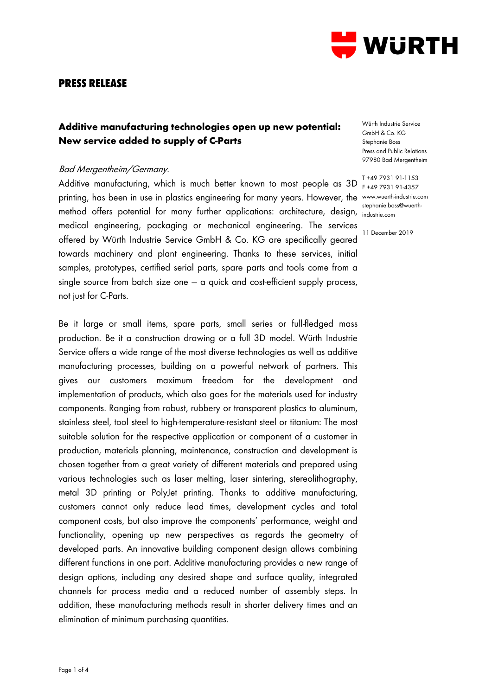

### **PRESS RELEASE**

# **Additive manufacturing technologies open up new potential: New service added to supply of C-Parts**

#### Bad Mergentheim/Germany.

Additive manufacturing, which is much better known to most people as 3D printing, has been in use in plastics engineering for many years. However, the www.wuerth-industrie.com method offers potential for many further applications: architecture, design, industrie.com medical engineering, packaging or mechanical engineering. The services offered by Würth Industrie Service GmbH & Co. KG are specifically geared towards machinery and plant engineering. Thanks to these services, initial samples, prototypes, certified serial parts, spare parts and tools come from a single source from batch size one  $-$  a quick and cost-efficient supply process, not just for C-Parts.

Be it large or small items, spare parts, small series or full-fledged mass production. Be it a construction drawing or a full 3D model. Würth Industrie Service offers a wide range of the most diverse technologies as well as additive manufacturing processes, building on a powerful network of partners. This gives our customers maximum freedom for the development and implementation of products, which also goes for the materials used for industry components. Ranging from robust, rubbery or transparent plastics to aluminum, stainless steel, tool steel to high-temperature-resistant steel or titanium: The most suitable solution for the respective application or component of a customer in production, materials planning, maintenance, construction and development is chosen together from a great variety of different materials and prepared using various technologies such as laser melting, laser sintering, stereolithography, metal 3D printing or PolyJet printing. Thanks to additive manufacturing, customers cannot only reduce lead times, development cycles and total component costs, but also improve the components' performance, weight and functionality, opening up new perspectives as regards the geometry of developed parts. An innovative building component design allows combining different functions in one part. Additive manufacturing provides a new range of design options, including any desired shape and surface quality, integrated channels for process media and a reduced number of assembly steps. In addition, these manufacturing methods result in shorter delivery times and an elimination of minimum purchasing quantities.

Würth Industrie Service GmbH & Co. KG Stephanie Boss Press and Public Relations 97980 Bad Mergentheim

T +49 7931 91-1153 F +49 7931 91-4357 stephanie.boss@wuerth-

11 December 2019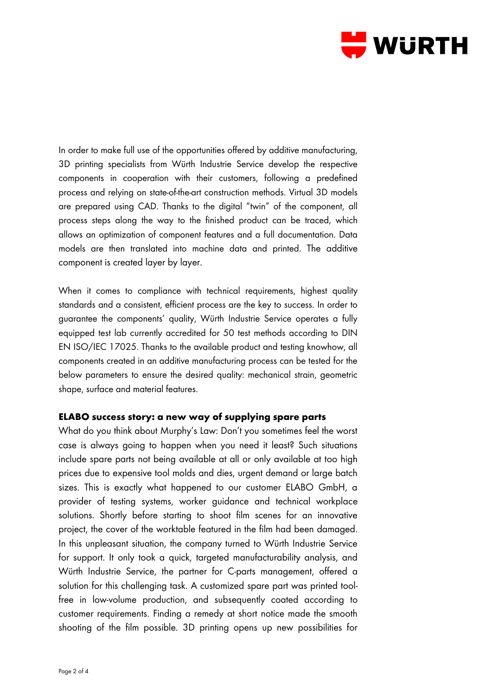

In order to make full use of the opportunities offered by additive manufacturing, 3D printing specialists from Würth Industrie Service develop the respective components in cooperation with their customers, following a predefined process and relying on state-of-the-art construction methods. Virtual 3D models are prepared using CAD. Thanks to the digital "twin" of the component, all process steps along the way to the finished product can be traced, which allows an optimization of component features and a full documentation. Data models are then translated into machine data and printed. The additive component is created layer by layer.

When it comes to compliance with technical requirements, highest quality standards and a consistent, efficient process are the key to success. In order to guarantee the components' quality, Würth Industrie Service operates a fully equipped test lab currently accredited for 50 test methods according to DIN EN ISO/IEC 17025. Thanks to the available product and testing knowhow, all components created in an additive manufacturing process can be tested for the below parameters to ensure the desired quality: mechanical strain, geometric shape, surface and material features.

### **ELABO success story: a new way of supplying spare parts**

What do you think about Murphy's Law: Don't you sometimes feel the worst case is always going to happen when you need it least? Such situations include spare parts not being available at all or only available at too high prices due to expensive tool molds and dies, urgent demand or large batch sizes. This is exactly what happened to our customer ELABO GmbH, a provider of testing systems, worker guidance and technical workplace solutions. Shortly before starting to shoot film scenes for an innovative project, the cover of the worktable featured in the film had been damaged. In this unpleasant situation, the company turned to Würth Industrie Service for support. It only took a quick, targeted manufacturability analysis, and Würth Industrie Service, the partner for C-parts management, offered a solution for this challenging task. A customized spare part was printed toolfree in low-volume production, and subsequently coated according to customer requirements. Finding a remedy at short notice made the smooth shooting of the film possible. 3D printing opens up new possibilities for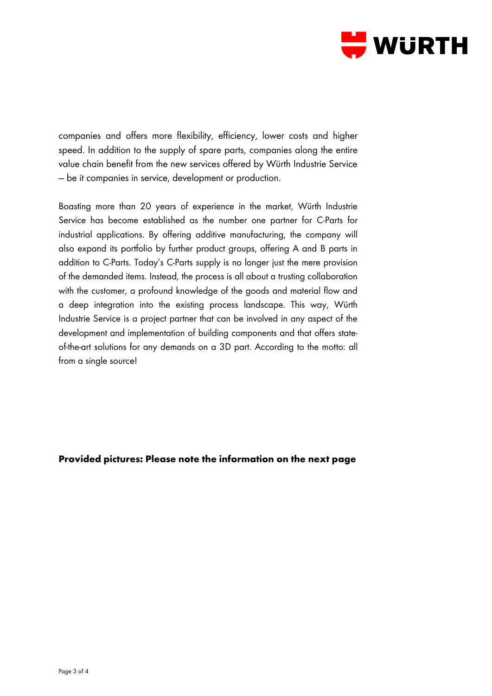

companies and offers more flexibility, efficiency, lower costs and higher speed. In addition to the supply of spare parts, companies along the entire value chain benefit from the new services offered by Würth Industrie Service — be it companies in service, development or production.

Boasting more than 20 years of experience in the market, Würth Industrie Service has become established as the number one partner for C-Parts for industrial applications. By offering additive manufacturing, the company will also expand its portfolio by further product groups, offering A and B parts in addition to C-Parts. Today's C-Parts supply is no longer just the mere provision of the demanded items. Instead, the process is all about a trusting collaboration with the customer, a profound knowledge of the goods and material flow and a deep integration into the existing process landscape. This way, Würth Industrie Service is a project partner that can be involved in any aspect of the development and implementation of building components and that offers stateof-the-art solutions for any demands on a 3D part. According to the motto: all from a single source!

### **Provided pictures: Please note the information on the next page**